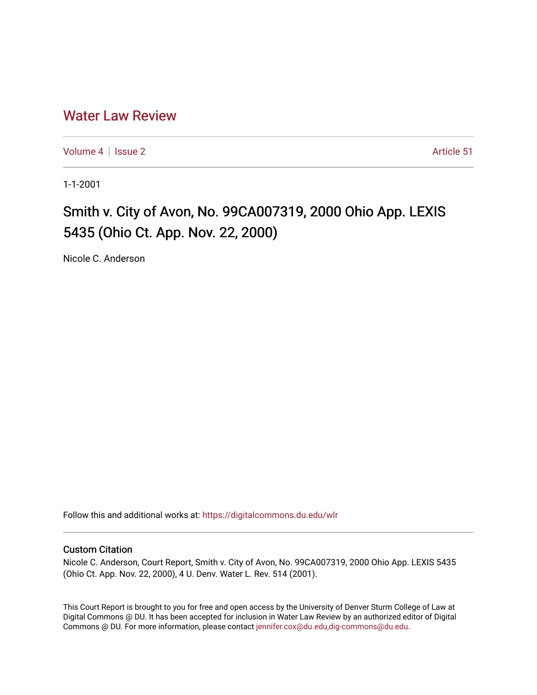## [Water Law Review](https://digitalcommons.du.edu/wlr)

[Volume 4](https://digitalcommons.du.edu/wlr/vol4) | [Issue 2](https://digitalcommons.du.edu/wlr/vol4/iss2) Article 51

1-1-2001

## Smith v. City of Avon, No. 99CA007319, 2000 Ohio App. LEXIS 5435 (Ohio Ct. App. Nov. 22, 2000)

Nicole C. Anderson

Follow this and additional works at: [https://digitalcommons.du.edu/wlr](https://digitalcommons.du.edu/wlr?utm_source=digitalcommons.du.edu%2Fwlr%2Fvol4%2Fiss2%2F51&utm_medium=PDF&utm_campaign=PDFCoverPages) 

## Custom Citation

Nicole C. Anderson, Court Report, Smith v. City of Avon, No. 99CA007319, 2000 Ohio App. LEXIS 5435 (Ohio Ct. App. Nov. 22, 2000), 4 U. Denv. Water L. Rev. 514 (2001).

This Court Report is brought to you for free and open access by the University of Denver Sturm College of Law at Digital Commons @ DU. It has been accepted for inclusion in Water Law Review by an authorized editor of Digital Commons @ DU. For more information, please contact [jennifer.cox@du.edu,dig-commons@du.edu.](mailto:jennifer.cox@du.edu,dig-commons@du.edu)